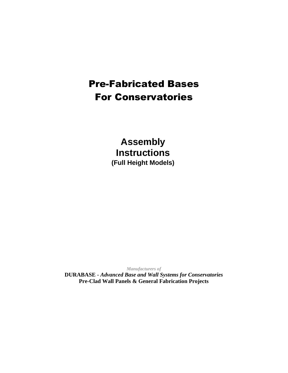# Pre-Fabricated Bases For Conservatories

**Assembly Instructions (Full Height Models)**

*Manufacturers of*

**DURABASE -** *Advanced Base and Wall Systems for Conservatories* **Pre-Clad Wall Panels & General Fabrication Projects**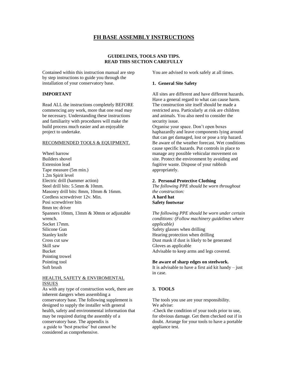# **FH BASE ASSEMBLY INSTRUCTIONS**

## **GUIDELINES, TOOLS AND TIPS. READ THIS SECTION CAREFULLY**

Contained within this instruction manual are step by step instructions to guide you through the installation of your conservatory base.

## **IMPORTANT**

Read ALL the instructions completely BEFORE commencing any work, more that one read may be necessary. Understanding these instructions and familiarity with procedures will make the build process much easier and an enjoyable project to undertake.

#### RECOMMENDED TOOLS & EQUIPMENT.

Wheel barrow Builders shovel Extension lead Tape measure (5m min.) 1.2m Spirit level Electric drill (hammer action) Steel drill bits: 5.5mm & 10mm. Masonry drill bits: 8mm, 10mm & 16mm. Cordless screwdriver 12v. Min. Posi screwdriver bits 8mm tec driver Spanners 10mm, 13mm & 30mm or adjustable wrench. Socket 17mm. Silicone Gun Stanley knife Cross cut saw Skill saw Bucket Pointing trowel Pointing tool Soft brush

#### HEALTH, SAFETY & ENVIROMENTAL ISSUES

As with any type of construction work, there are inherent dangers when assembling a conservatory base. The following supplement is designed to supply the installer with general health, safety and environmental information that may be required during the assembly of a conservatory base. The appendix is a guide to 'best practise' but cannot be considered as comprehensive.

You are advised to work safely at all times.

#### **1. General Site Safety**

All sites are different and have different hazards. Have a general regard to what can cause harm. The construction site itself should be made a restricted area. Particularly at risk are children and animals. You also need to consider the security issue.

Organise your space. Don't open boxes haphazardly and leave components lying around that can get damaged, lost or pose a trip hazard. Be aware of the weather forecast. Wet conditions cause specific hazards. Put controls in place to manage any possible vehicular movement on site. Protect the environment by avoiding and fugitive waste. Dispose of your rubbish appropriately.

#### **2. Personal Protective Clothing**

*The following PPE should be worn throughout the construction:* **A hard hat Safety footwear**

*The following PPE should be worn under certain conditions: (Follow machinery guidelines where applicable)* Safety glasses when drilling Hearing protection when drilling Dust mask if dust is likely to be generated Gloves as applicable

Advisable to keep arms and legs covered.

#### **Be aware of sharp edges on steelwork.**

It is advisable to have a first aid kit handy  $-$  just in case.

## **3. TOOLS**

The tools you use are your responsibility. We advise:

-Check the condition of your tools prior to use, for obvious damage. Get them checked out if in doubt. Arrange for your tools to have a portable appliance test.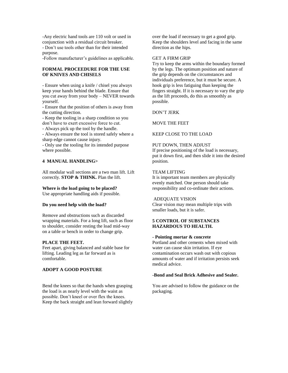-Any electric hand tools are 110 volt or used in conjunction with a residual circuit breaker. - Don't use tools other than for their intended purpose.

-Follow manufacturer's guidelines as applicable.

## **FORMAL PROCEEDURE FOR THE USE OF KNIVES AND CHISELS**

- Ensure when using a knife / chisel you always keep your hands behind the blade. Ensure that you cut away from your body – NEVER towards yourself.

- Ensure that the position of others is away from the cutting direction.

- Keep the tooling in a sharp condition so you don't have to exert excessive force to cut.

- Always pick up the tool by the handle.

- Always ensure the tool is stored safely where a sharp edge cannot cause injury.

- Only use the tooling for its intended purpose where possible.

## **4 MANUAL HANDLING>**

All modular wall sections are a two man lift. Lift correctly. **STOP & THINK.** Plan the lift.

#### **Where is the load going to be placed?**

Use appropriate handling aids if possible.

#### **Do you need help with the load?**

Remove and obstructions such as discarded wrapping materials. For a long lift, such as floor to shoulder, consider resting the load mid-way on a table or bench in order to change grip.

#### **PLACE THE FEET.**

Feet apart, giving balanced and stable base for lifting. Leading leg as far forward as is comfortable.

## **ADOPT A GOOD POSTURE**

Bend the knees so that the hands when grasping the load is as nearly level with the waist as possible. Don't kneel or over flex the knees. Keep the back straight and lean forward slightly over the load if necessary to get a good grip. Keep the shoulders level and facing in the same direction as the hips.

#### GET A FIRM GRIP

Try to keep the arms within the boundary formed by the legs. The optimum position and nature of the grip depends on the circumstances and individuals preference, but it must be secure. A hook grip is less fatiguing than keeping the fingers straight. If it is necessary to vary the grip as the lift proceeds, do this as smoothly as possible.

DON'T JERK

MOVE THE FEET

#### KEEP CLOSE TO THE LOAD

#### PUT DOWN, THEN ADJUST

If precise positioning of the load is necessary, put it down first, and then slide it into the desired position.

## TEAM LIFTING

It is important team members are physically evenly matched. One person should take responsibility and co-ordinate their actions.

#### ADEQUATE VISION

Clear vision may mean multiple trips with smaller loads, but it is safer.

## **5 CONTROL OF SUBSTANCES HAZARDOUS TO HEALTH.**

#### **- Pointing mortar & concrete**

Portland and other cements when mixed with water can cause skin irritation. If eye contamination occurs wash out with copious amounts of water and if irritation persists seek medical advice.

#### **-Bond and Seal Brick Adhesive and Sealer.**

You are advised to follow the guidance on the packaging.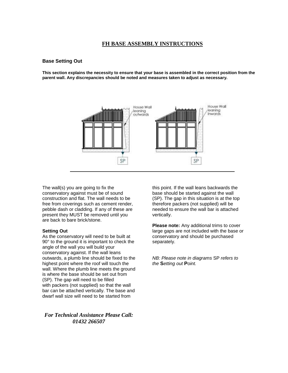# **FH BASE ASSEMBLY INSTRUCTIONS**

## **Base Setting Out**

**This section explains the necessity to ensure that your base is assembled in the correct position from the parent wall. Any discrepancies should be noted and measures taken to adjust as necessary.**



The wall(s) you are going to fix the conservatory against must be of sound construction and flat. The wall needs to be free from coverings such as cement render, pebble dash or cladding. If any of these are present they MUST be removed until you are back to bare brick/stone.

## **Setting Out**

As the conservatory will need to be built at 90° to the ground it is important to check the angle of the wall you will build your conservatory against. If the wall leans outwards, a plumb line should be fixed to the highest point where the roof will touch the wall. Where the plumb line meets the ground is where the base should be set out from (SP). The gap will need to be filled with packers (not supplied) so that the wall bar can be attached vertically. The base and dwarf wall size will need to be started from

*For Technical Assistance Please Call: 01432 266507*

this point. If the wall leans backwards the base should be started against the wall (SP). The gap in this situation is at the top therefore packers (not supplied) will be needed to ensure the wall bar is attached vertically.

**Please note:** Any additional trims to cover large gaps are not included with the base or conservatory and should be purchased separately.

*NB: Please note in diagrams* SP *refers to the* **S***etting out* **P***oint.*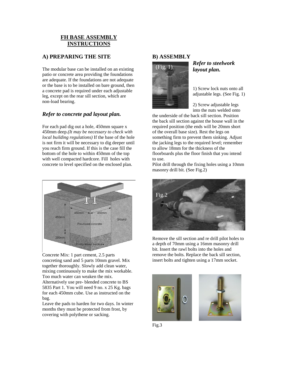# **FH BASE ASSEMBLY INSTRUCTIONS**

# **A) PREPARING THE SITE**

The modular base can be installed on an existing patio or concrete area providing the foundations are adequate. If the foundations are not adequate or the base is to be installed on bare ground, then a concrete pad is required under each adjustable leg, except on the rear sill section, which are non-load bearing.

# *Refer to concrete pad layout plan.*

For each pad dig out a hole, 450mm square x 450mm deep.*(It may be necessary to check with local building regulations)* If the base of the hole is not firm it will be necessary to dig deeper until you reach firm ground. If this is the case fill the bottom of the hole to within 450mm of the top with well compacted hardcore. Fill holes with concrete to level specified on the enclosed plan.



Concrete Mix: 1 part cement, 2.5 parts concreting sand and 5 parts 10mm gravel. Mix together thoroughly. Slowly add clean water, mixing continuously to make the mix workable. Too much water can weaken the mix. Alternatively use pre- blended concrete to BS 5835 Part 1. You will need 9 no. x 25 Kg. bags for each 450mm cube. Use as instructed on the bag.

Leave the pads to harden for two days. In winter months they must be protected from frost, by covering with polythene or sacking.

# **B) ASSEMBLY**



# *Refer to steelwork layout plan.*

1) Screw lock nuts onto all adjustable legs. (See Fig. 1)

2) Screw adjustable legs into the nuts welded onto

the underside of the back sill section. Position the back sill section against the house wall in the required position (the ends will be 20mm short of the overall base size). Rest the legs on something firm to prevent them sinking. Adjust the jacking legs to the required level; remember to allow 18mm for the thickness of the floorboards plus the floor finish that you intend to use.

Pilot drill through the fixing holes using a 10mm masonry drill bit. (See Fig.2)



Remove the sill section and re drill pilot holes to a depth of 70mm using a 16mm masonry drill bit. Insert the rawl bolts into the holes and remove the bolts. Replace the back sill section, insert bolts and tighten using a 17mm socket.





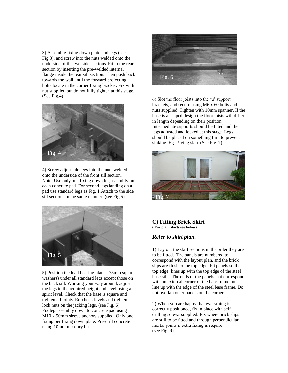3) Assemble fixing down plate and legs (see Fig.3), and screw into the nuts welded onto the underside of the two side sections. Fit to the rear section by inserting the pre-welded internal flange inside the rear sill section. Then push back towards the wall until the forward projecting bolts locate in the corner fixing bracket. Fix with nut supplied but do not fully tighten at this stage. (See Fig.4)



4) Screw adjustable legs into the nuts welded onto the underside of the front sill section. Note; Use only one fixing down leg assembly on each concrete pad. For second legs landing on a pad use standard legs as Fig. 1.Attach to the side sill sections in the same manner. (see Fig.5)



5) Position the load bearing plates (75mm square washers) under all standard legs except those on the back sill. Working your way around, adjust the legs to the required height and level using a spirit level. Check that the base is square and tighten all joints. Re-check levels and tighten lock nuts on the jacking legs. (see Fig. 6) Fix leg assembly down to concrete pad using M10 x 50mm sleeve anchors supplied. Only one fixing per fixing down plate. Pre-drill concrete using 10mm masonry bit.



6) Slot the floor joists into the 'u' support brackets, and secure using M6 x 60 bolts and nuts supplied. Tighten with 10mm spanner. If the base is a shaped design the floor joists will differ in length depending on their position. Intermediate supports should be fitted and the legs adjusted and locked at this stage. Legs should be placed on something firm to prevent sinking. Eg. Paving slab. (See Fig. 7)



## **C) Fitting Brick Skirt ( For plain skirts see below)**

# *Refer to skirt plan.*

1) Lay out the skirt sections in the order they are to be fitted. The panels are numbered to correspond with the layout plan, and the brick slips are flush to the top edge. Fit panels so the top edge, lines up with the top edge of the steel base sills. The ends of the panels that correspond with an external corner of the base frame must line up with the edge of the steel base frame. Do not overlap other panels on the corners

2) When you are happy that everything is correctly positioned, fix in place with self drilling screws supplied. Fix where brick slips are still to be fitted and through perpendicular mortar joints if extra fixing is require. (see Fig. 9)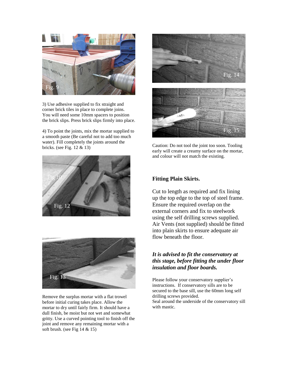

3) Use adhesive supplied to fix straight and corner brick tiles in place to complete joins. You will need some 10mm spacers to position the brick slips. Press brick slips firmly into place.

4) To point the joints, mix the mortar supplied to a smooth paste (Be careful not to add too much water). Fill completely the joints around the bricks. (see Fig. 12 & 13)





Remove the surplus mortar with a flat trowel before initial curing takes place. Allow the mortar to dry until fairly firm. It should have a dull finish, be moist but not wet and somewhat gritty. Use a curved pointing tool to finish off the joint and remove any remaining mortar with a soft brush. (see Fig 14 & 15)



Caution: Do not tool the joint too soon. Tooling early will create a creamy surface on the mortar, and colour will not match the existing.

# **Fitting Plain Skirts.**

Cut to length as required and fix lining up the top edge to the top of steel frame. Ensure the required overlap on the external corners and fix to steelwork using the self drilling screws supplied. Air Vents (not supplied) should be fitted into plain skirts to ensure adequate air flow beneath the floor.

# *It is advised to fit the conservatory at this stage, before fitting the under floor insulation and floor boards.*

Please follow your conservatory supplier's instructions. If conservatory sills are to be secured to the base sill, use the 60mm long self drilling screws provided. Seal around the underside of the conservatory sill with mastic.